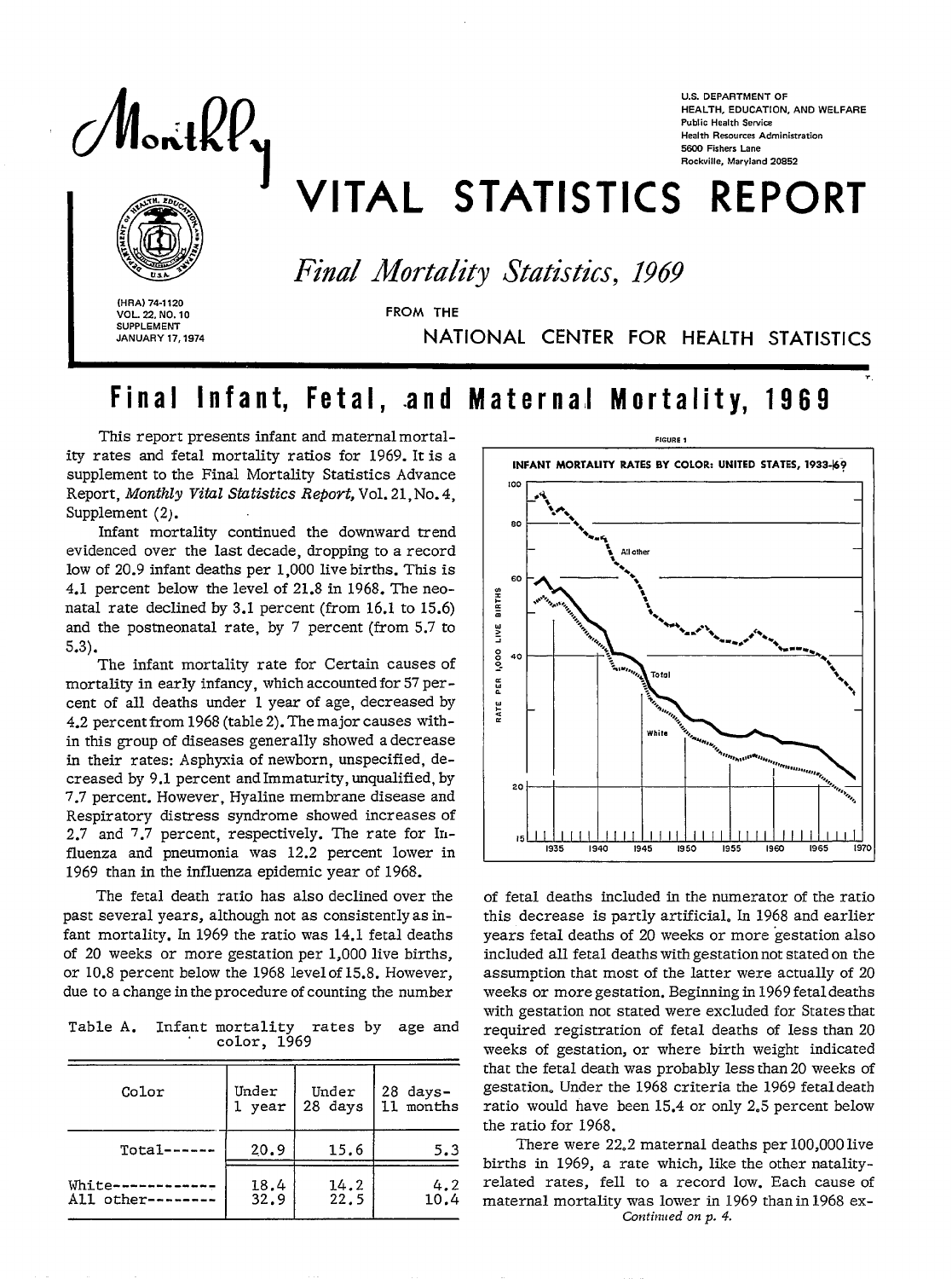MonthPy

**U.S. DEPARTMENT OF HEALTH, EDUCATION, AND WELFARE Public Health Service Health Resources Administration 5S00 Fishers Lane Rockville, Maryland 20852** 

# VITAL STATISTICS REPORT

*Final Mortality* Statistics, 1969

(HRA) 74-1120<br>**VOL. 22, NO. 1**<br>SUPPLEMENT<br>JANUARY 17, **VOL. 22, NO. 10 FROM THE SUPPLEMENT** 

**JANUARY 17,1974** NATIONAL CENTER FOR HEALTH STATISTICS

## Final Infant, Fetal, and Maternal Mortality, 1969

This report presents infant and maternal mortality rates and fetal mortality ratios for 1969. It is a supplement to the Final Mortality Statistics Advance Report, *Monthly Vital Statistics Repovt,* Vol. 21, No. 4, Supplement (2).

Infant mortality continued the downward trend evidenced over the last decade, dropping to a record low of 20.9 infant deaths per 1,000 live births. This is 4.1 percent below the level of 21.8 in 1968. The neonatal rate declined by 3.1 percent (from 16.1 to 15.6) and the postneonatal rate, by 7 percent (from 5.7 to 5.3).

The infant mortality rate for Certain causes of mortality in early infancy, which accounted for 57 percent of all deaths under 1 year of age, decreased by 4.2 percent from 1968 (table 2). The major causes within this group of diseases generally showed a decrease in their rates: Asphyxia of newborn, unspecified, decreased by 9.1 percent and Immaturity, unqualified, by 7.7 percent.However, Hyaline membrane disease and Respiratory distress syndrome showed increases of 2.7 and 7.7 percent, respectively. The rate for Influenza and pneumonia was 12.2 percent lower in 1969 than in the influenza epidemic year of 1968.

The fetal death ratio has also declined over the past several years, although not as consistently as infant mortality. In 1969 the ratio was  $14.1$  fetal deaths of 20 weeks or more gestation per 1,000 live births, or 10.8 percent below the 1968 level of 15.8. However, due to a change in the procedure of counting the number

Table A. Infant mortality rates by *age* and color, 1969

| Color            | Under  | Under   | 28 days-  |
|------------------|--------|---------|-----------|
|                  | 1 year | 28 days | 11 months |
| Total------      | 20.9   | 15.6    | 5.3       |
| White--------    | 18.4   | 14.2    | 4.2       |
| All other------- | 32.9   | 22.5    | 10.4      |

� **FIGURE** I INFANT MORTALITY RATES BY COLOR: UNITED STATES, 1933-69 **!00 .%, \*.4\* 80 ——\*+ \* -. ~ 8 8** All ok,  $\ddot{\phantom{1}}$ eo !2 k m z J 2 40 <del>- 1 - 1</del>2 :. . : \*., : . . Whit, 20 **15** II 1 [11 1111 1111 1111 1111 1111 1111 **1935 I940 1945 1950 1955 19S0 1965 [971** 

of fetal deaths included in the numerator of the ratio this decrease is partly artificial. In 1968 and earlier years fetal deaths of 20 weeks or more gestation also included all fetal deaths with gestation not stated on the assumption that most of the latter were actually of 20 weeks or more gestation. Begiming in 1969 fetal deaths with gestation not stated were excluded for States that required registration of fetal deaths of less than 20 weeks of gestation, or where birth weight indicated that the fetal death was probably less than 20 weeks of gestation. Under the 1968 criteria the 1969 fetal death ratio would have been 15.4 or only 2.5 percent below the ratio for 1968.

There were 22.2 maternal deaths per 100,000 live births in 1969, a rate which, like the other natalityrelated rates, feH to a record low. Each cause of maternal mortality was lower in 1969 than in 1968 ex-*Coxtirnted on p. 4.*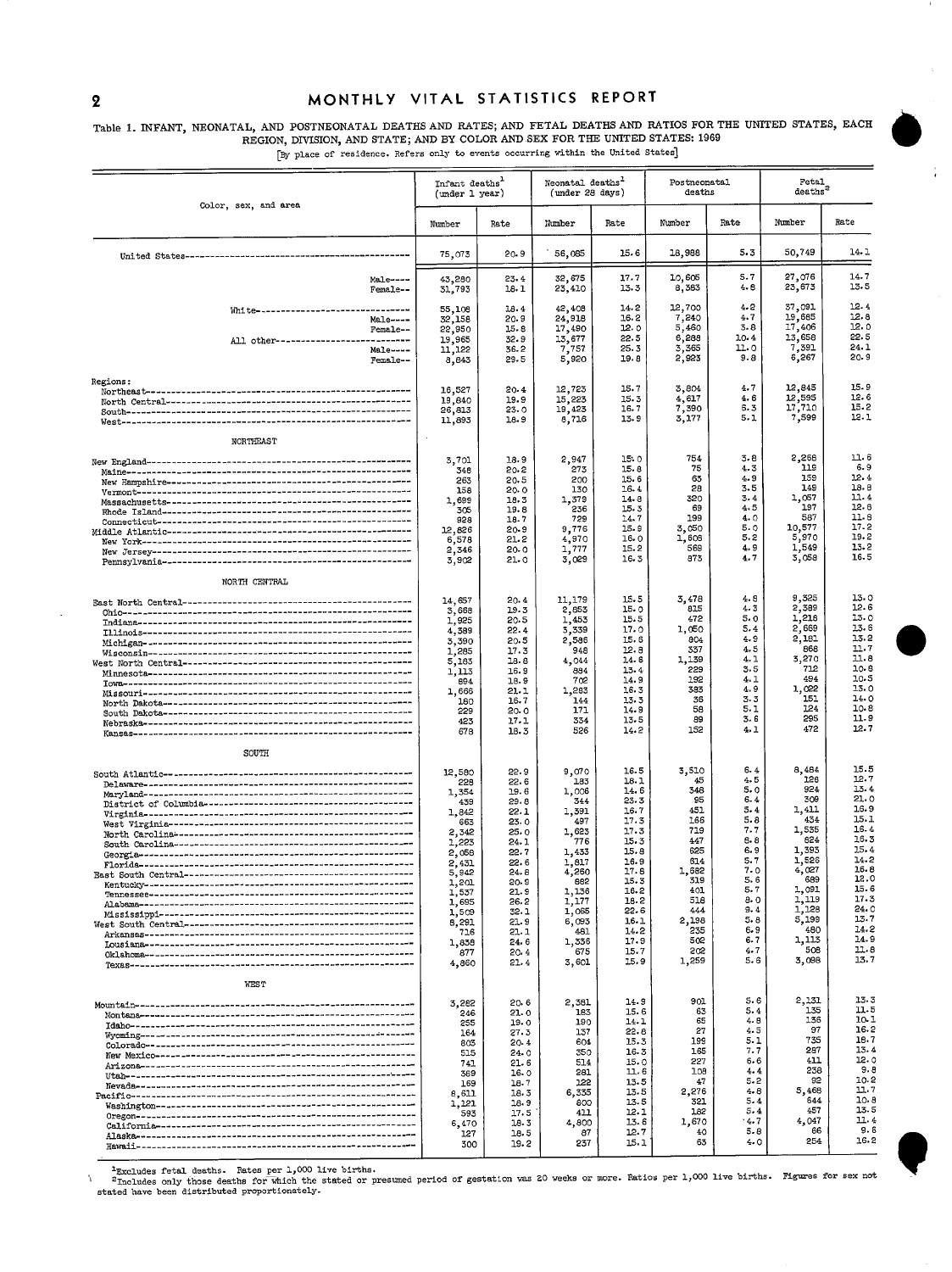#### 2 MONTHLY VITAL STATISTICS REPORT

### Table 1. INFANT, NEONATAL, AND POSTNEONATAL DEATHS AND RATES; AND FETAL DEATHS AND REGION, DIVISION, AND STATES, AND BY COLOR AND SEX FOR THE UNITED STATES: 1969

.<br>[By place of residence. Refers only to events occurring within the United States]

|                                                                                 | Infant deaths <sup>1</sup><br>(under 1 year)                                                                                                                            |                                                                                                                                                              | Neonatal deaths <sup>1</sup><br>(under 28 days)                                                                                                                    |                                                                                                                                                              | Postneonatal<br>deaths                                                                                                                         |                                                                                                                                                 | Fetal<br>deaths <sup>2</sup>                                                                                                                                     |                                                                                                                                                              |
|---------------------------------------------------------------------------------|-------------------------------------------------------------------------------------------------------------------------------------------------------------------------|--------------------------------------------------------------------------------------------------------------------------------------------------------------|--------------------------------------------------------------------------------------------------------------------------------------------------------------------|--------------------------------------------------------------------------------------------------------------------------------------------------------------|------------------------------------------------------------------------------------------------------------------------------------------------|-------------------------------------------------------------------------------------------------------------------------------------------------|------------------------------------------------------------------------------------------------------------------------------------------------------------------|--------------------------------------------------------------------------------------------------------------------------------------------------------------|
| Color, sex, and area                                                            | Number                                                                                                                                                                  | Rate                                                                                                                                                         | Number                                                                                                                                                             | Rate                                                                                                                                                         | Number                                                                                                                                         | Rate                                                                                                                                            | Number                                                                                                                                                           | Rate                                                                                                                                                         |
|                                                                                 | 75,073                                                                                                                                                                  | 20.9                                                                                                                                                         | 56,085                                                                                                                                                             | 15.6                                                                                                                                                         | 18,988                                                                                                                                         | 5.3                                                                                                                                             | 50,749                                                                                                                                                           | 14.1                                                                                                                                                         |
| Male----<br>Female--                                                            | 43,280<br>31,793                                                                                                                                                        | 23.4<br>18. 1                                                                                                                                                | 32,675<br>23,410                                                                                                                                                   | 17.7<br>13.3                                                                                                                                                 | 10,605<br>8,383                                                                                                                                | 5.7<br>4. 8                                                                                                                                     | 27,076<br>23,673                                                                                                                                                 | 14.7<br>13.5                                                                                                                                                 |
| White---------------------<br>Male----<br>Female--<br>All other---------------- | 55,108<br>32,158<br>22,950<br>19,965                                                                                                                                    | 18.4<br>20.9<br>15.8<br>32.9                                                                                                                                 | 42,408<br>24,918<br>17,490<br>13,677                                                                                                                               | 14.2<br>16.2<br>12.0<br>22.5                                                                                                                                 | 12,700<br>7,240<br>5,460<br>6,288                                                                                                              | 4.2<br>4.7<br>3.8<br>10.4                                                                                                                       | 37,091<br>19,685<br>17,406<br>13,658                                                                                                                             | 12.4<br>12.8<br>12.0<br>22.5                                                                                                                                 |
| Male----<br>Female--                                                            | 11,122<br>8,843                                                                                                                                                         | 36.2<br>29.5                                                                                                                                                 | 7,757<br>5,920                                                                                                                                                     | 25.3<br>19.8                                                                                                                                                 | 3,365<br>2,923                                                                                                                                 | 11. O<br>$9 - 8$                                                                                                                                | 7,391<br>6,267                                                                                                                                                   | 24.1<br>20.9                                                                                                                                                 |
| Regions:<br>NORTHEAST                                                           | 16,527<br>19,840<br>26,813<br>11,893                                                                                                                                    | 20.4<br>19.9<br>23.0<br>18.9                                                                                                                                 | 12,723<br>15,223<br>19,423<br>8,716                                                                                                                                | 15.7<br>15.3<br>16.7<br>13.9                                                                                                                                 | 3,804<br>4,617<br>7,390<br>3,177                                                                                                               | 4.7<br>4.6<br>6.3<br>5.1                                                                                                                        | 12,845<br>12,595<br>17,710<br>7,599                                                                                                                              | 15.9<br>12.6<br>15.2<br>12.1                                                                                                                                 |
| NORTH CENTRAL                                                                   | 3,701<br>348<br>263<br>158<br>1,699<br>305<br>928<br>12,826<br>6,578<br>2,346<br>3,902                                                                                  | 18.9<br>20.2<br>20.5<br>20.0<br>18.3<br>19.8<br>18.7<br>$20-9$<br>21.2<br>20.0<br>21.0                                                                       | 2,947<br>273<br>200<br>130<br>1,379<br>236<br>729<br>9,776<br>4,970<br>1,777<br>3,029                                                                              | 15.0<br>15.8<br>15.6<br>16.4<br>14.8<br>15.3<br>14.7<br>15.9<br>16.0<br>15.2<br>16.3                                                                         | 754<br>75<br>63<br>28<br>320<br>69<br>199<br>3,050<br>1,608<br>569<br>873                                                                      | 3.8<br>4.3<br>4.9<br>3.5<br>3.4<br>4.5<br>4.0<br>5.0<br>5.2<br>4.9<br>4.7                                                                       | 2,268<br>119<br>159<br>149<br>1,057<br>197<br>587<br>10,577<br>5,970<br>1,549<br>3,058                                                                           | 11.6<br>6.9<br>12.4<br>18.8<br>11.4<br>12.8<br>11.6<br>17.2<br>19.2<br>13.2<br>16.5                                                                          |
|                                                                                 | 14,657<br>3,668<br>1,925<br>4,389<br>3,390<br>1,285<br>5,183<br>1,113<br>894<br>1,666<br>180<br>559<br>423<br>678                                                       | 20.4<br>19.3<br>20.5<br>22.4<br>20.5<br>17.3<br>18.8<br>16.9<br>18.9<br>21.1<br>16.7<br>20.0<br>17.1<br>18.3                                                 | 11,179<br>2,853<br>1,453<br>3,339<br>2,586<br>948<br>4,044<br>884<br>702<br>1,283<br>144<br>171<br>334<br>526                                                      | 15.5<br>15.0<br>15.5<br>17.0<br>15.6<br>12.8<br>14.6<br>13.4<br>14.9<br>16.3<br>13.3<br>14.9<br>13.5<br>14.2                                                 | 3,478<br>815<br>472<br>1,050<br>804<br>337<br>1,139<br>229<br>192<br>383<br>36<br>58<br>89<br>152                                              | 4.8<br>4.3<br>5.0<br>5.4<br>4.9<br>4.5<br>4.1<br>3.5<br>4.1<br>4.9<br>3.3<br>5.1<br>3.6<br>4.1                                                  | 9,325<br>2,389<br>1,218<br>2,669<br>2,181<br>868<br>3,270<br>712<br>494<br>1,022<br>151<br>124<br>295<br>472                                                     | 13.0<br>12.6<br>13.0<br>13.6<br>13.2<br>11.7<br>11.8<br>10-8<br>10.5<br>13.0<br>14.0<br>10.8<br>11.9<br>12.7                                                 |
| SOUTH                                                                           | 12,580<br>556<br>1,354<br>439<br>1,842<br>663<br>2,342<br>1,223<br>2,058<br>2,431<br>5,942<br>1,201<br>1,537<br>1,695<br>1,509<br>8,291<br>716<br>1,838<br>877<br>4,860 | 22.9<br>22.6<br>19.6<br>29.8<br>22.1<br>23.0<br>25.0<br>24.1<br>22.7<br>22.6<br>24.8<br>20.9<br>21.9<br>26.2<br>32.1<br>21.9<br>21.1<br>24.6<br>20.4<br>21.4 | 9,070<br>183<br>1,006<br>344<br>1,391<br>497<br>1,623<br>776<br>1,433<br>1,817<br>4,260<br>882<br>1,136<br>1,177<br>1,065<br>6,093<br>481<br>1,336<br>675<br>3,601 | 16.5<br>18.1<br>14.6<br>23.3<br>16.7<br>17.3<br>17.3<br>15.3<br>15.8<br>16.9<br>17.6<br>15.3<br>16.2<br>18.2<br>22.6<br>16.1<br>14.2<br>17.9<br>15.7<br>15.9 | 3,510<br>45<br>348<br>95<br>451<br>166<br>719<br>447<br>625<br>614<br>1,682<br>319<br>401<br>518<br>444<br>2,198<br>235<br>502<br>505<br>1,259 | 6.4<br>4.5<br>5.0<br>6.4<br>5.4<br>5.8<br>$7 - 7$<br>6.8<br>6.9<br>5.7<br>7.0<br>5.6<br>5.7<br>a. o<br>9.4<br>5. 8<br>6.9<br>6. 7<br>4.7<br>5.6 | 8,484<br>126<br>924<br>309<br>1,411<br>434<br>1,535<br>624<br>1,393<br>1,526<br>4,027<br>689<br>1,091<br>1,119<br>1,128<br>5,199<br>480<br>1,113<br>508<br>3,098 | 15.5<br>12.7<br>13.4<br>21.0<br>16.9<br>15.1<br>16.4<br>16.3<br>15.4<br>14.2<br>16.8<br>12.0<br>15.6<br>17.3<br>24.0<br>13.7<br>14.2<br>14.9<br>11.8<br>13.7 |
| <b>WEST</b>                                                                     | 3,282<br>246<br>255<br>164<br>803<br>515<br>741<br>369<br>169<br>8,611<br>1,121<br>593<br>6,470<br>127<br>300                                                           | 20.6<br>21.0<br>19.0<br>27.3<br>20-4<br>24.0<br>21.6<br>16.0<br>18.7<br>18.3<br>18.9<br>17.5<br>18.3<br>18.5<br>19.2                                         | 2,381<br>183<br>190<br>137<br>604<br>350<br>514<br>281<br>122<br>6,335<br>800<br>411<br>4,800<br>87<br>237                                                         | 14.9<br>15.6<br>14.1<br>22.8<br>15.3<br>16.3<br>15.0<br>11.6<br>13.5<br>13.5<br>13.5<br>12.1<br>13.6<br>12.7<br>15.1                                         | 901<br>63<br>65<br>27<br>199<br>165<br>227<br>108<br>47<br>2,276<br>321<br>182<br>1,670<br>40<br>63                                            | 5.6<br>5.4<br>4.8<br>4.5<br>5.1<br>7.7<br>6.6<br>$4 - 4$<br>$5 - 2$<br>$4 - 8$<br>5.4<br>5.4<br>4.7<br>5.8<br>4.0                               | 2,131<br>135<br>136<br>97<br>735<br>287<br>411<br>238<br>92<br>5,468<br>644<br>457<br>4,047<br>66<br>254                                                         | 13.3<br>11.5<br>10.1<br>16.2<br>16.7<br>$13 - 4$<br>$12 - 0$<br>9.8<br>10.2<br>11.7<br>10.8<br>13.5<br>11.4<br>9.6<br>16.2                                   |

FExcludes fetal deaths. Rates per 1,000 live births.<br>"Theoludes only those deaths for which the stated or presumed period of gestation was 20 weeks or more. Ratios per 1,000 live births. Figures for sex not<br>stated have bee

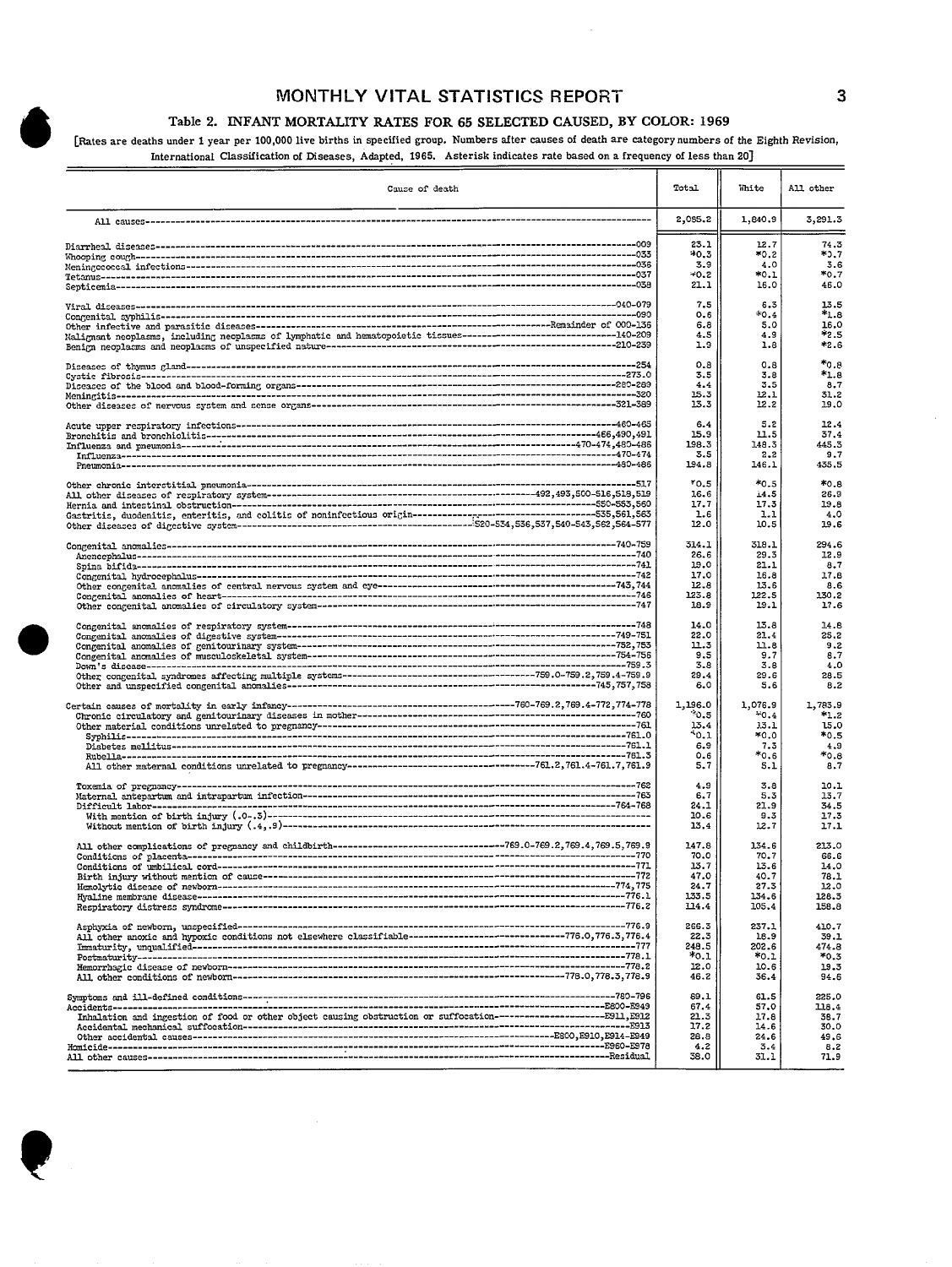#### **MONTHLY VITAL STATISTICS REPORT 3**

#### Table 2. INFANT MORTALITY RATES FOR 65 SELECTED CAUSED, BY COLOR: 1969

[Rates are deaths under 1 year per 100,000 live births in specified group. Numbers after causes of death are category numbers of the Eighth Revision, International Classification of Diseases, Adapted, 1965. Asterisk indicates rate based on a frequency of less than 20]

 $\bar{z}$ 

| Cause of death                                                                                                        | Total                              | White                             | All other                            |
|-----------------------------------------------------------------------------------------------------------------------|------------------------------------|-----------------------------------|--------------------------------------|
|                                                                                                                       | 2,085.2                            | 1,840.9                           | 3,291.3                              |
|                                                                                                                       | 23.1                               | 12.7                              | 74.3                                 |
|                                                                                                                       | $+0.3$                             | *0.2                              | *ጋ.7                                 |
|                                                                                                                       | 3.9                                | 4.0                               | 3.6                                  |
|                                                                                                                       | $-0.2$                             | *0.1                              | *0.7                                 |
|                                                                                                                       | 21.1                               | 16.0                              | 46.0                                 |
|                                                                                                                       | 7.5                                | 6.3                               | 13.5                                 |
|                                                                                                                       | 0.6                                | *0.4                              | *1.8                                 |
|                                                                                                                       | 6.8                                | 5.0                               | 16.0                                 |
| Malignant neoplasms, including neoplasms of lymphatic and hematopoietic tissues-------------------------------140-209 | 4.5                                | 4.9                               | *2.5                                 |
|                                                                                                                       | 1.9                                | 1.8                               | *2.6                                 |
|                                                                                                                       | 0.8                                | 0.8                               | $*_{0.8}$                            |
|                                                                                                                       | 3.5                                | 3.8                               | *1.8                                 |
|                                                                                                                       | 4.4                                | 3.5                               | 8.7                                  |
|                                                                                                                       | 15.3                               | 12.1                              | 31.2                                 |
|                                                                                                                       | 13.3                               | 12.2                              | 19.0                                 |
|                                                                                                                       | 6.4                                | 5.2                               | 12.4                                 |
|                                                                                                                       | 15.9                               | 11.5                              | 37.4                                 |
|                                                                                                                       | 198.3                              | 148.3                             | 445.3                                |
|                                                                                                                       | 3.5                                | 2,2                               | 9.7                                  |
|                                                                                                                       | 194.8                              | 146.1                             | 435.5                                |
|                                                                                                                       | *0.5                               | *0.5                              | $*_{0.8}$                            |
|                                                                                                                       | 16.6                               | 14.5                              | 26.9                                 |
|                                                                                                                       | 17.7                               | 17.3                              | 19.8                                 |
|                                                                                                                       | 1.6                                | 1.1                               | 4.0                                  |
|                                                                                                                       | 12.0                               | 10.5                              | 19.6                                 |
|                                                                                                                       | 314.1                              | 318.1                             | 294.6                                |
|                                                                                                                       | 26.6                               | 29.3                              | 12.9                                 |
|                                                                                                                       | 19.0                               | 21.1                              | 8.7                                  |
|                                                                                                                       | 17.0                               | 16.8                              | 17.8                                 |
|                                                                                                                       | 12.8                               | 13.6                              | 8.6                                  |
|                                                                                                                       | 123.8                              | 122.5                             | 130.2                                |
|                                                                                                                       | 18.9                               | 19.1                              | 17.6                                 |
|                                                                                                                       | 14.0                               | 13.8                              | 14.8                                 |
|                                                                                                                       | 22.0                               | 21.4                              | 25.2                                 |
|                                                                                                                       | 11.3                               | 11.8                              | 9.2                                  |
|                                                                                                                       | 9.5                                | 9.7                               | 8.7                                  |
|                                                                                                                       | 3.8                                | 3.8                               | 4.0                                  |
|                                                                                                                       | 29.4                               | 29.6                              | 28.5                                 |
|                                                                                                                       | 6.0                                | 5.6                               | 8.2                                  |
|                                                                                                                       | 1,196.0                            | 1,076.9                           | 1,783.9                              |
|                                                                                                                       | $^*0.5$                            | $+0.4$                            | $*1.2$                               |
|                                                                                                                       | 13.4                               | 3.3.1                             | 15.0                                 |
|                                                                                                                       | *o.1                               | *0.0                              | $*0.5$                               |
|                                                                                                                       | 6.9                                | 7.3                               | 4.9                                  |
|                                                                                                                       | 0.6                                | $*0.6$                            | $*_{0.8}$                            |
|                                                                                                                       | 5,7                                | 5.1                               | 8.7                                  |
|                                                                                                                       | 4.9<br>6.7<br>24.1<br>10.6<br>13.4 | 3.8<br>5.3<br>21.9<br>9.3<br>12.7 | 10.1<br>13.7<br>34.5<br>17.3<br>17.1 |
|                                                                                                                       | 147.8                              | 134.6                             | 213.0                                |
|                                                                                                                       | 70.0                               | 70.7                              | 66.6                                 |
|                                                                                                                       | 13.7                               | 13.6                              | 14.0                                 |
|                                                                                                                       | 47.0                               | 40.7                              | 78.1                                 |
|                                                                                                                       | 24.7                               | 27.3                              | 12.0                                 |
|                                                                                                                       | 133.5                              | 134.6                             | 128.3                                |
|                                                                                                                       | 114.4                              | 105.4                             | 158.8                                |
|                                                                                                                       | 266.3                              | 237.1                             | 410.7                                |
|                                                                                                                       | 22.3                               | 18.9                              | 39.1                                 |
|                                                                                                                       | 248.5                              | 202.6                             | 474.8                                |
|                                                                                                                       | $*0.1$                             | $*_{0.1}$                         | $*0.3$                               |
|                                                                                                                       | 12.0                               | 10.6                              | 19.3                                 |
|                                                                                                                       | 46.2                               | 36.4                              | 94.6                                 |
|                                                                                                                       | 89.1                               | 61.5                              | 225.0                                |
|                                                                                                                       | 67.4                               | 57.0                              | 118.4                                |
| Inhalation and ingestion of food or other object causing obstruction or suffocation----------------------E911, E912   | 21.3                               | 17.8                              | 38.7                                 |
|                                                                                                                       | 17.2                               | 14.6                              | 30.0                                 |
|                                                                                                                       | 28.8                               | 24.6                              | 49.6                                 |
|                                                                                                                       | 4.2                                | 3.4                               | 8.2                                  |
|                                                                                                                       | 38.0                               | 31.1                              | 71.9                                 |